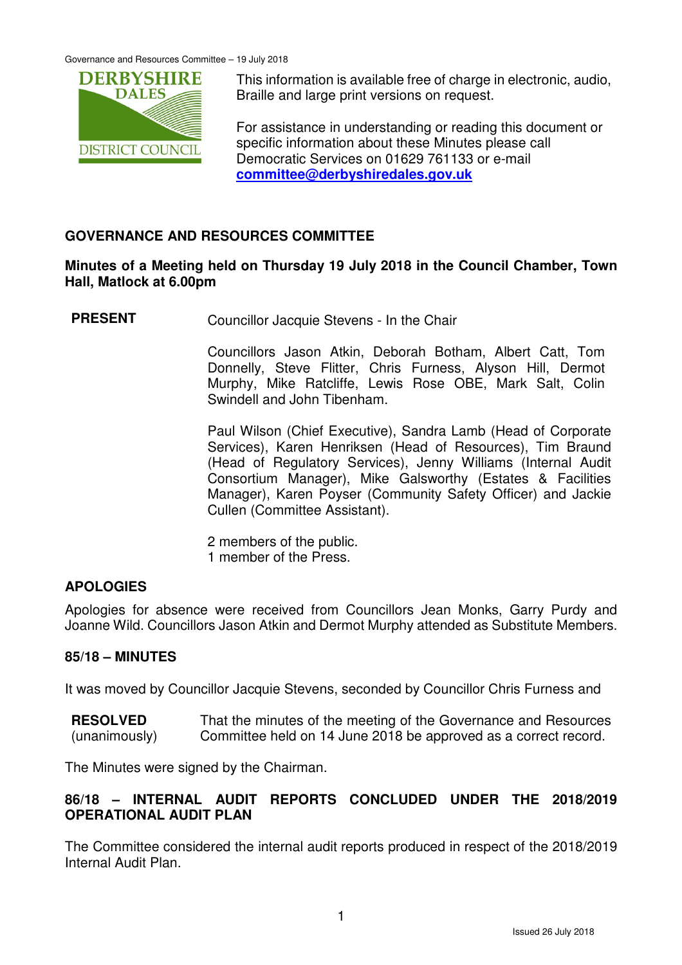

This information is available free of charge in electronic, audio, Braille and large print versions on request.

For assistance in understanding or reading this document or specific information about these Minutes please call Democratic Services on 01629 761133 or e-mail **committee@derbyshiredales.gov.uk**

# **GOVERNANCE AND RESOURCES COMMITTEE**

### **Minutes of a Meeting held on Thursday 19 July 2018 in the Council Chamber, Town Hall, Matlock at 6.00pm**

**PRESENT** Councillor Jacquie Stevens - In the Chair

 Councillors Jason Atkin, Deborah Botham, Albert Catt, Tom Donnelly, Steve Flitter, Chris Furness, Alyson Hill, Dermot Murphy, Mike Ratcliffe, Lewis Rose OBE, Mark Salt, Colin Swindell and John Tibenham.

 Paul Wilson (Chief Executive), Sandra Lamb (Head of Corporate Services), Karen Henriksen (Head of Resources), Tim Braund (Head of Regulatory Services), Jenny Williams (Internal Audit Consortium Manager), Mike Galsworthy (Estates & Facilities Manager), Karen Poyser (Community Safety Officer) and Jackie Cullen (Committee Assistant).

2 members of the public. 1 member of the Press.

# **APOLOGIES**

Apologies for absence were received from Councillors Jean Monks, Garry Purdy and Joanne Wild. Councillors Jason Atkin and Dermot Murphy attended as Substitute Members.

#### **85/18 – MINUTES**

It was moved by Councillor Jacquie Stevens, seconded by Councillor Chris Furness and

**RESOLVED** (unanimously) That the minutes of the meeting of the Governance and Resources Committee held on 14 June 2018 be approved as a correct record.

The Minutes were signed by the Chairman.

# **86/18 – INTERNAL AUDIT REPORTS CONCLUDED UNDER THE 2018/2019 OPERATIONAL AUDIT PLAN**

The Committee considered the internal audit reports produced in respect of the 2018/2019 Internal Audit Plan.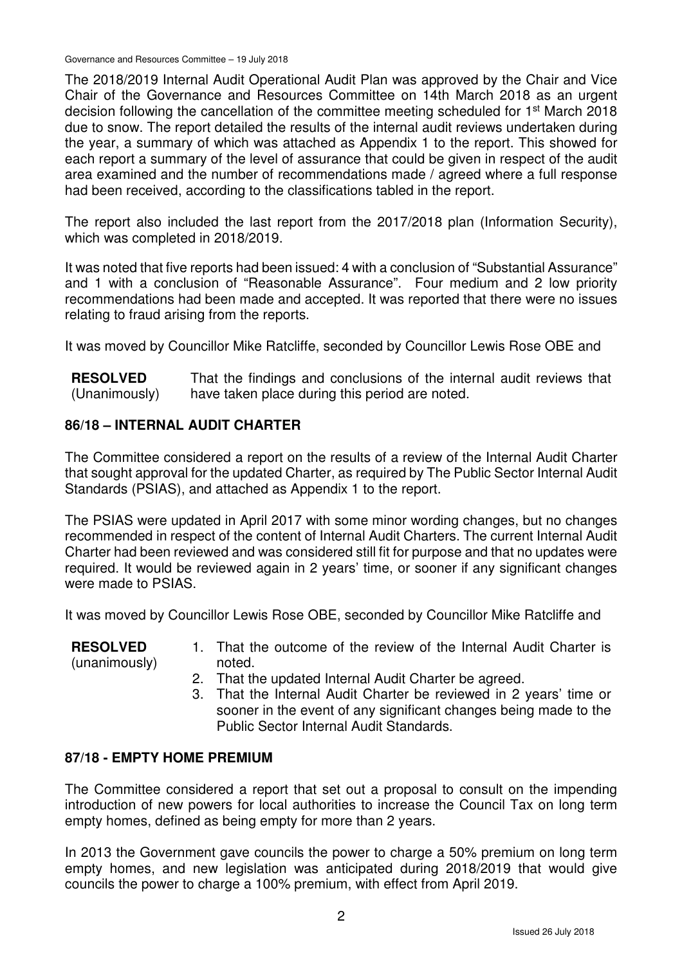Governance and Resources Committee – 19 July 2018

The 2018/2019 Internal Audit Operational Audit Plan was approved by the Chair and Vice Chair of the Governance and Resources Committee on 14th March 2018 as an urgent decision following the cancellation of the committee meeting scheduled for 1<sup>st</sup> March 2018 due to snow. The report detailed the results of the internal audit reviews undertaken during the year, a summary of which was attached as Appendix 1 to the report. This showed for each report a summary of the level of assurance that could be given in respect of the audit area examined and the number of recommendations made / agreed where a full response had been received, according to the classifications tabled in the report.

The report also included the last report from the 2017/2018 plan (Information Security), which was completed in 2018/2019.

It was noted that five reports had been issued: 4 with a conclusion of "Substantial Assurance" and 1 with a conclusion of "Reasonable Assurance". Four medium and 2 low priority recommendations had been made and accepted. It was reported that there were no issues relating to fraud arising from the reports.

It was moved by Councillor Mike Ratcliffe, seconded by Councillor Lewis Rose OBE and

**RESOLVED** (Unanimously) That the findings and conclusions of the internal audit reviews that have taken place during this period are noted.

# **86/18 – INTERNAL AUDIT CHARTER**

The Committee considered a report on the results of a review of the Internal Audit Charter that sought approval for the updated Charter, as required by The Public Sector Internal Audit Standards (PSIAS), and attached as Appendix 1 to the report.

The PSIAS were updated in April 2017 with some minor wording changes, but no changes recommended in respect of the content of Internal Audit Charters. The current Internal Audit Charter had been reviewed and was considered still fit for purpose and that no updates were required. It would be reviewed again in 2 years' time, or sooner if any significant changes were made to PSIAS.

It was moved by Councillor Lewis Rose OBE, seconded by Councillor Mike Ratcliffe and

| <b>RESOLVED</b> | 1. That the outcome of the review of the Internal Audit Charter is |
|-----------------|--------------------------------------------------------------------|
| (unanimously)   | noted.                                                             |
|                 | That the undated Internal Audit Charter he agreed                  |

- 2. That the updated Internal Audit Charter be agreed.
- 3. That the Internal Audit Charter be reviewed in 2 years' time or sooner in the event of any significant changes being made to the Public Sector Internal Audit Standards.

# **87/18 - EMPTY HOME PREMIUM**

The Committee considered a report that set out a proposal to consult on the impending introduction of new powers for local authorities to increase the Council Tax on long term empty homes, defined as being empty for more than 2 years.

In 2013 the Government gave councils the power to charge a 50% premium on long term empty homes, and new legislation was anticipated during 2018/2019 that would give councils the power to charge a 100% premium, with effect from April 2019.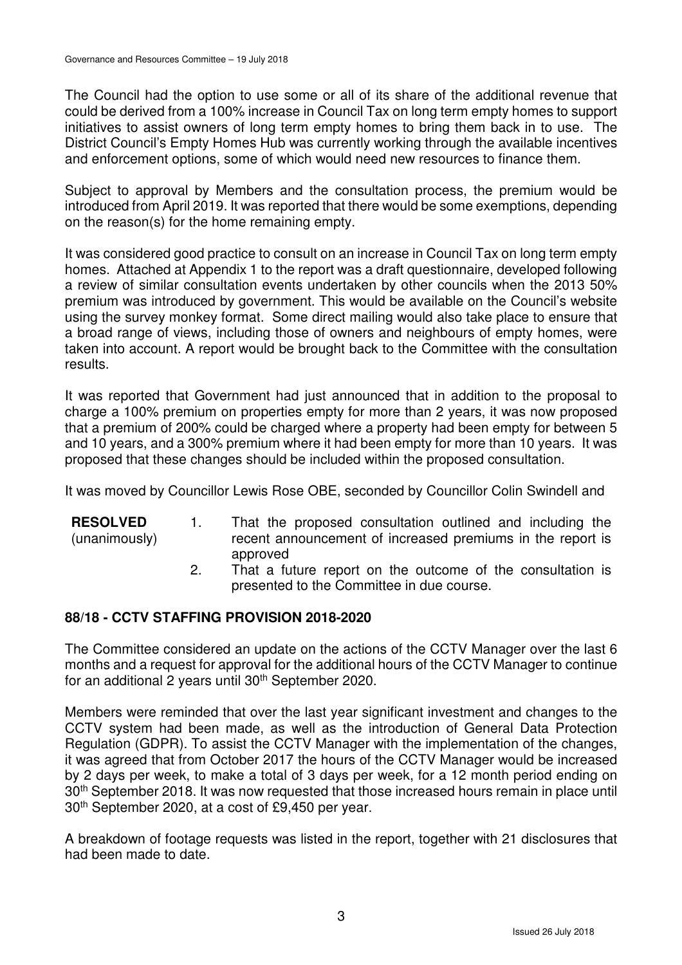The Council had the option to use some or all of its share of the additional revenue that could be derived from a 100% increase in Council Tax on long term empty homes to support initiatives to assist owners of long term empty homes to bring them back in to use. The District Council's Empty Homes Hub was currently working through the available incentives and enforcement options, some of which would need new resources to finance them.

Subject to approval by Members and the consultation process, the premium would be introduced from April 2019. It was reported that there would be some exemptions, depending on the reason(s) for the home remaining empty.

It was considered good practice to consult on an increase in Council Tax on long term empty homes. Attached at Appendix 1 to the report was a draft questionnaire, developed following a review of similar consultation events undertaken by other councils when the 2013 50% premium was introduced by government. This would be available on the Council's website using the survey monkey format. Some direct mailing would also take place to ensure that a broad range of views, including those of owners and neighbours of empty homes, were taken into account. A report would be brought back to the Committee with the consultation results.

It was reported that Government had just announced that in addition to the proposal to charge a 100% premium on properties empty for more than 2 years, it was now proposed that a premium of 200% could be charged where a property had been empty for between 5 and 10 years, and a 300% premium where it had been empty for more than 10 years. It was proposed that these changes should be included within the proposed consultation.

It was moved by Councillor Lewis Rose OBE, seconded by Councillor Colin Swindell and

| <b>RESOLVED</b> | That the proposed consultation outlined and including the                                                             |
|-----------------|-----------------------------------------------------------------------------------------------------------------------|
| (unanimously)   | recent announcement of increased premiums in the report is                                                            |
|                 | approved                                                                                                              |
|                 | 그 그 사람들은 그 사람들을 하고 있는 사람들을 사용하는 것이 없다. 그 사람들은 아이들에게 아이들에게 아이들에게 아이들에게 아니라 아이들에게 아니라 아이들에게 아니라 아이들에게 아니라 아이들에게 지나지 않아. |

2. That a future report on the outcome of the consultation is presented to the Committee in due course.

#### **88/18 - CCTV STAFFING PROVISION 2018-2020**

The Committee considered an update on the actions of the CCTV Manager over the last 6 months and a request for approval for the additional hours of the CCTV Manager to continue for an additional 2 years until 30th September 2020.

Members were reminded that over the last year significant investment and changes to the CCTV system had been made, as well as the introduction of General Data Protection Regulation (GDPR). To assist the CCTV Manager with the implementation of the changes, it was agreed that from October 2017 the hours of the CCTV Manager would be increased by 2 days per week, to make a total of 3 days per week, for a 12 month period ending on 30th September 2018. It was now requested that those increased hours remain in place until 30th September 2020, at a cost of £9,450 per year.

A breakdown of footage requests was listed in the report, together with 21 disclosures that had been made to date.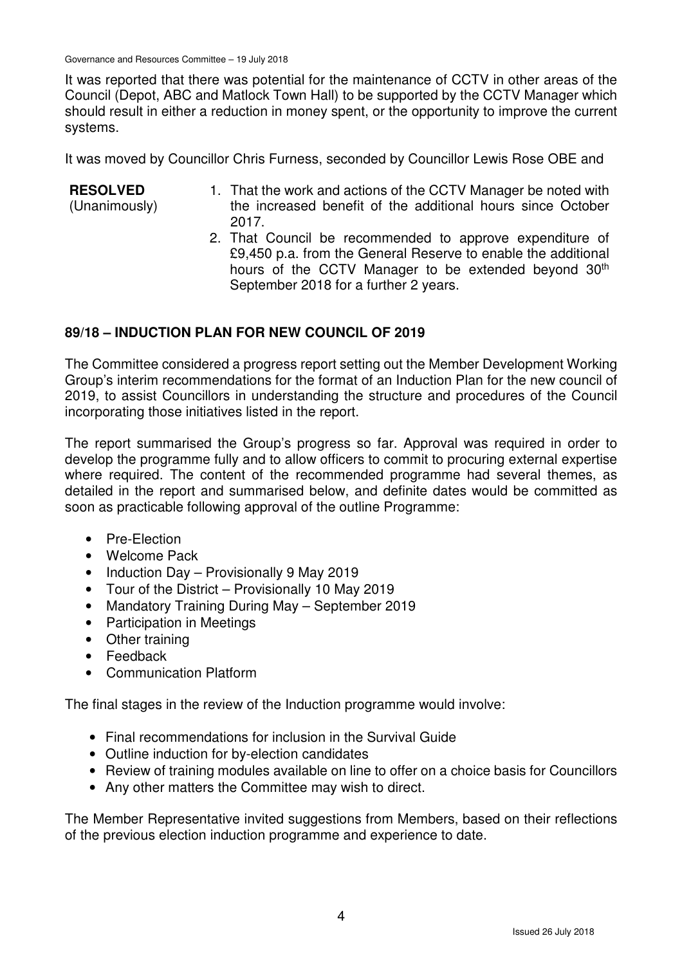Governance and Resources Committee – 19 July 2018

It was reported that there was potential for the maintenance of CCTV in other areas of the Council (Depot, ABC and Matlock Town Hall) to be supported by the CCTV Manager which should result in either a reduction in money spent, or the opportunity to improve the current systems.

It was moved by Councillor Chris Furness, seconded by Councillor Lewis Rose OBE and

#### **RESOLVED**

(Unanimously)

- 1. That the work and actions of the CCTV Manager be noted with the increased benefit of the additional hours since October 2017.
- 2. That Council be recommended to approve expenditure of £9,450 p.a. from the General Reserve to enable the additional hours of the CCTV Manager to be extended beyond 30<sup>th</sup> September 2018 for a further 2 years.

# **89/18 – INDUCTION PLAN FOR NEW COUNCIL OF 2019**

The Committee considered a progress report setting out the Member Development Working Group's interim recommendations for the format of an Induction Plan for the new council of 2019, to assist Councillors in understanding the structure and procedures of the Council incorporating those initiatives listed in the report.

The report summarised the Group's progress so far. Approval was required in order to develop the programme fully and to allow officers to commit to procuring external expertise where required. The content of the recommended programme had several themes, as detailed in the report and summarised below, and definite dates would be committed as soon as practicable following approval of the outline Programme:

- Pre-Election
- Welcome Pack
- Induction Day Provisionally 9 May 2019
- Tour of the District Provisionally 10 May 2019
- Mandatory Training During May September 2019
- Participation in Meetings
- Other training
- Feedback
- Communication Platform

The final stages in the review of the Induction programme would involve:

- Final recommendations for inclusion in the Survival Guide
- Outline induction for by-election candidates
- Review of training modules available on line to offer on a choice basis for Councillors
- Any other matters the Committee may wish to direct.

The Member Representative invited suggestions from Members, based on their reflections of the previous election induction programme and experience to date.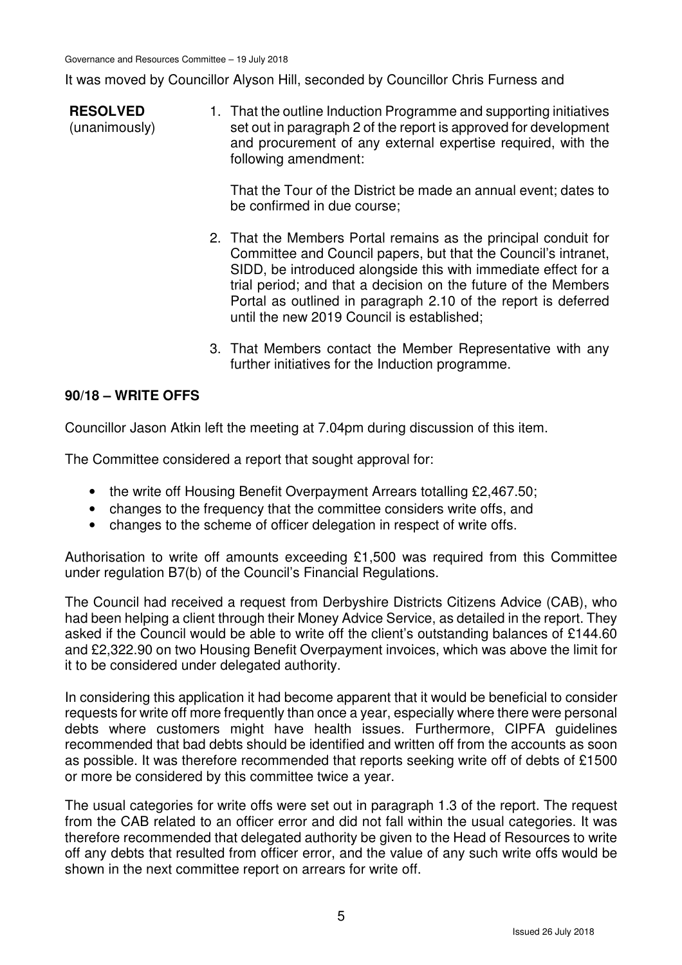It was moved by Councillor Alyson Hill, seconded by Councillor Chris Furness and

**RESOLVED** (unanimously) 1. That the outline Induction Programme and supporting initiatives set out in paragraph 2 of the report is approved for development and procurement of any external expertise required, with the following amendment:

> That the Tour of the District be made an annual event; dates to be confirmed in due course;

- 2. That the Members Portal remains as the principal conduit for Committee and Council papers, but that the Council's intranet, SIDD, be introduced alongside this with immediate effect for a trial period; and that a decision on the future of the Members Portal as outlined in paragraph 2.10 of the report is deferred until the new 2019 Council is established;
- 3. That Members contact the Member Representative with any further initiatives for the Induction programme.

### **90/18 – WRITE OFFS**

Councillor Jason Atkin left the meeting at 7.04pm during discussion of this item.

The Committee considered a report that sought approval for:

- the write off Housing Benefit Overpayment Arrears totalling £2,467.50;
- changes to the frequency that the committee considers write offs, and
- changes to the scheme of officer delegation in respect of write offs.

Authorisation to write off amounts exceeding £1,500 was required from this Committee under regulation B7(b) of the Council's Financial Regulations.

The Council had received a request from Derbyshire Districts Citizens Advice (CAB), who had been helping a client through their Money Advice Service, as detailed in the report. They asked if the Council would be able to write off the client's outstanding balances of £144.60 and £2,322.90 on two Housing Benefit Overpayment invoices, which was above the limit for it to be considered under delegated authority.

In considering this application it had become apparent that it would be beneficial to consider requests for write off more frequently than once a year, especially where there were personal debts where customers might have health issues. Furthermore, CIPFA guidelines recommended that bad debts should be identified and written off from the accounts as soon as possible. It was therefore recommended that reports seeking write off of debts of £1500 or more be considered by this committee twice a year.

The usual categories for write offs were set out in paragraph 1.3 of the report. The request from the CAB related to an officer error and did not fall within the usual categories. It was therefore recommended that delegated authority be given to the Head of Resources to write off any debts that resulted from officer error, and the value of any such write offs would be shown in the next committee report on arrears for write off.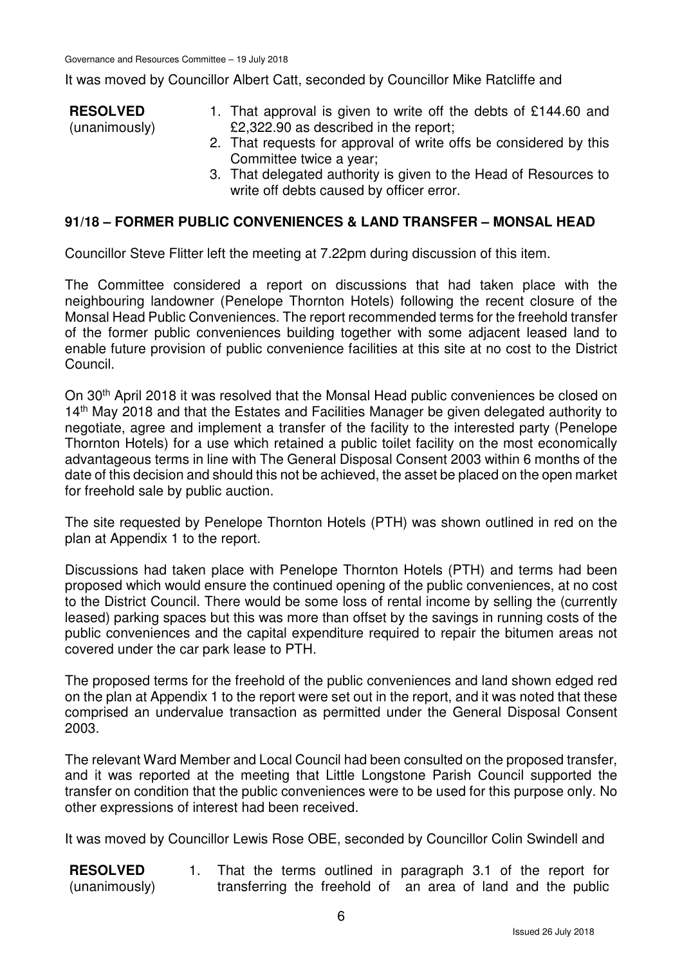It was moved by Councillor Albert Catt, seconded by Councillor Mike Ratcliffe and

**RESOLVED** (unanimously) 1. That approval is given to write off the debts of £144.60 and £2,322.90 as described in the report; 2. That requests for approval of write offs be considered by this

- Committee twice a year;
- 3. That delegated authority is given to the Head of Resources to write off debts caused by officer error.

#### **91/18 – FORMER PUBLIC CONVENIENCES & LAND TRANSFER – MONSAL HEAD**

Councillor Steve Flitter left the meeting at 7.22pm during discussion of this item.

The Committee considered a report on discussions that had taken place with the neighbouring landowner (Penelope Thornton Hotels) following the recent closure of the Monsal Head Public Conveniences. The report recommended terms for the freehold transfer of the former public conveniences building together with some adjacent leased land to enable future provision of public convenience facilities at this site at no cost to the District Council.

On 30<sup>th</sup> April 2018 it was resolved that the Monsal Head public conveniences be closed on 14<sup>th</sup> May 2018 and that the Estates and Facilities Manager be given delegated authority to negotiate, agree and implement a transfer of the facility to the interested party (Penelope Thornton Hotels) for a use which retained a public toilet facility on the most economically advantageous terms in line with The General Disposal Consent 2003 within 6 months of the date of this decision and should this not be achieved, the asset be placed on the open market for freehold sale by public auction.

The site requested by Penelope Thornton Hotels (PTH) was shown outlined in red on the plan at Appendix 1 to the report.

Discussions had taken place with Penelope Thornton Hotels (PTH) and terms had been proposed which would ensure the continued opening of the public conveniences, at no cost to the District Council. There would be some loss of rental income by selling the (currently leased) parking spaces but this was more than offset by the savings in running costs of the public conveniences and the capital expenditure required to repair the bitumen areas not covered under the car park lease to PTH.

The proposed terms for the freehold of the public conveniences and land shown edged red on the plan at Appendix 1 to the report were set out in the report, and it was noted that these comprised an undervalue transaction as permitted under the General Disposal Consent 2003.

The relevant Ward Member and Local Council had been consulted on the proposed transfer, and it was reported at the meeting that Little Longstone Parish Council supported the transfer on condition that the public conveniences were to be used for this purpose only. No other expressions of interest had been received.

It was moved by Councillor Lewis Rose OBE, seconded by Councillor Colin Swindell and

**RESOLVED** (unanimously) 1. That the terms outlined in paragraph 3.1 of the report for transferring the freehold of an area of land and the public